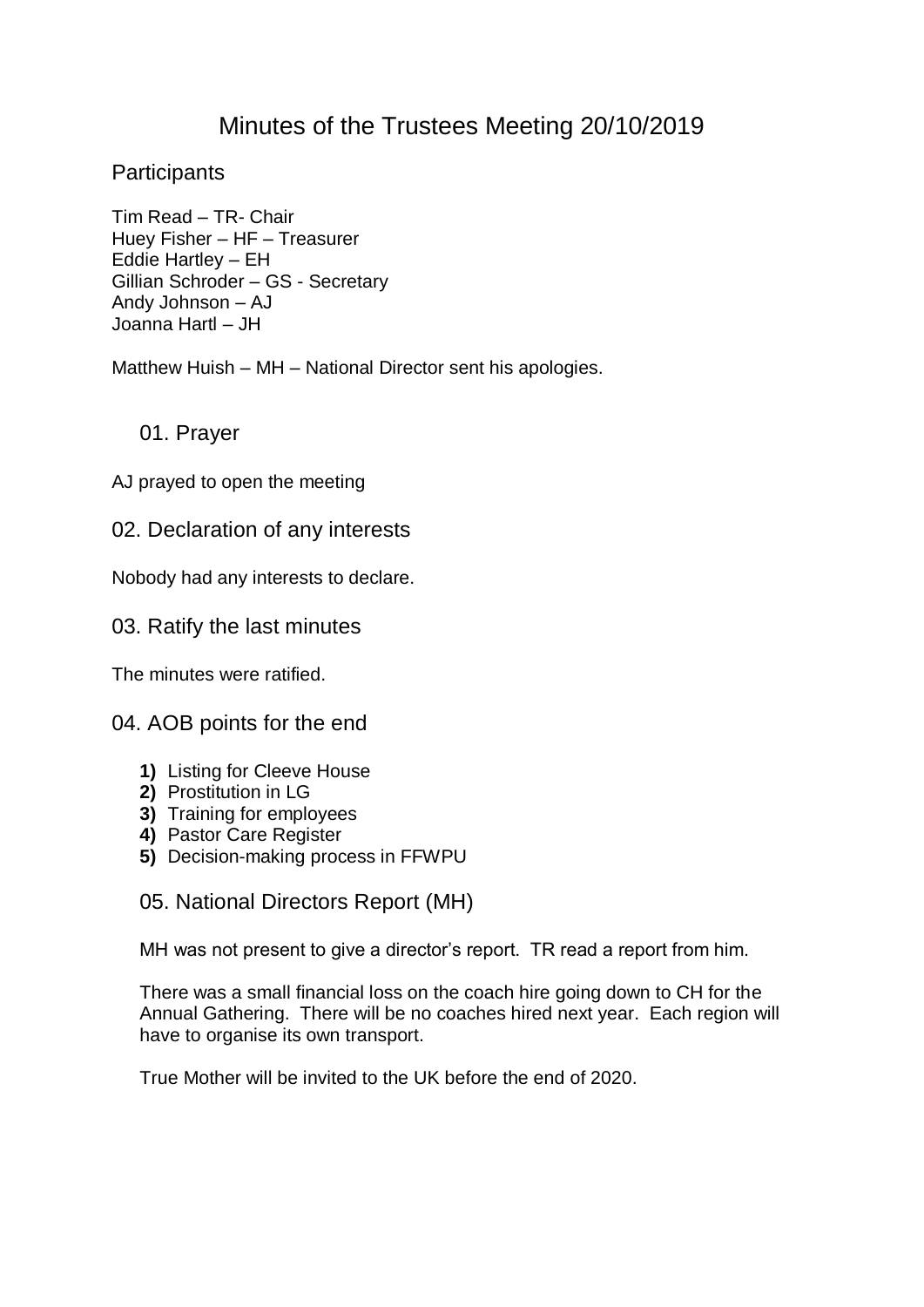# Minutes of the Trustees Meeting 20/10/2019

**Participants** 

Tim Read – TR- Chair Huey Fisher – HF – Treasurer Eddie Hartley – EH Gillian Schroder – GS - Secretary Andy Johnson – AJ Joanna Hartl – JH

Matthew Huish – MH – National Director sent his apologies.

01. Prayer

AJ prayed to open the meeting

02. Declaration of any interests

Nobody had any interests to declare.

03. Ratify the last minutes

The minutes were ratified.

04. AOB points for the end

- **1)** Listing for Cleeve House
- **2)** Prostitution in LG
- **3)** Training for employees
- **4)** Pastor Care Register
- **5)** Decision-making process in FFWPU

05. National Directors Report (MH)

MH was not present to give a director's report. TR read a report from him.

There was a small financial loss on the coach hire going down to CH for the Annual Gathering. There will be no coaches hired next year. Each region will have to organise its own transport.

True Mother will be invited to the UK before the end of 2020.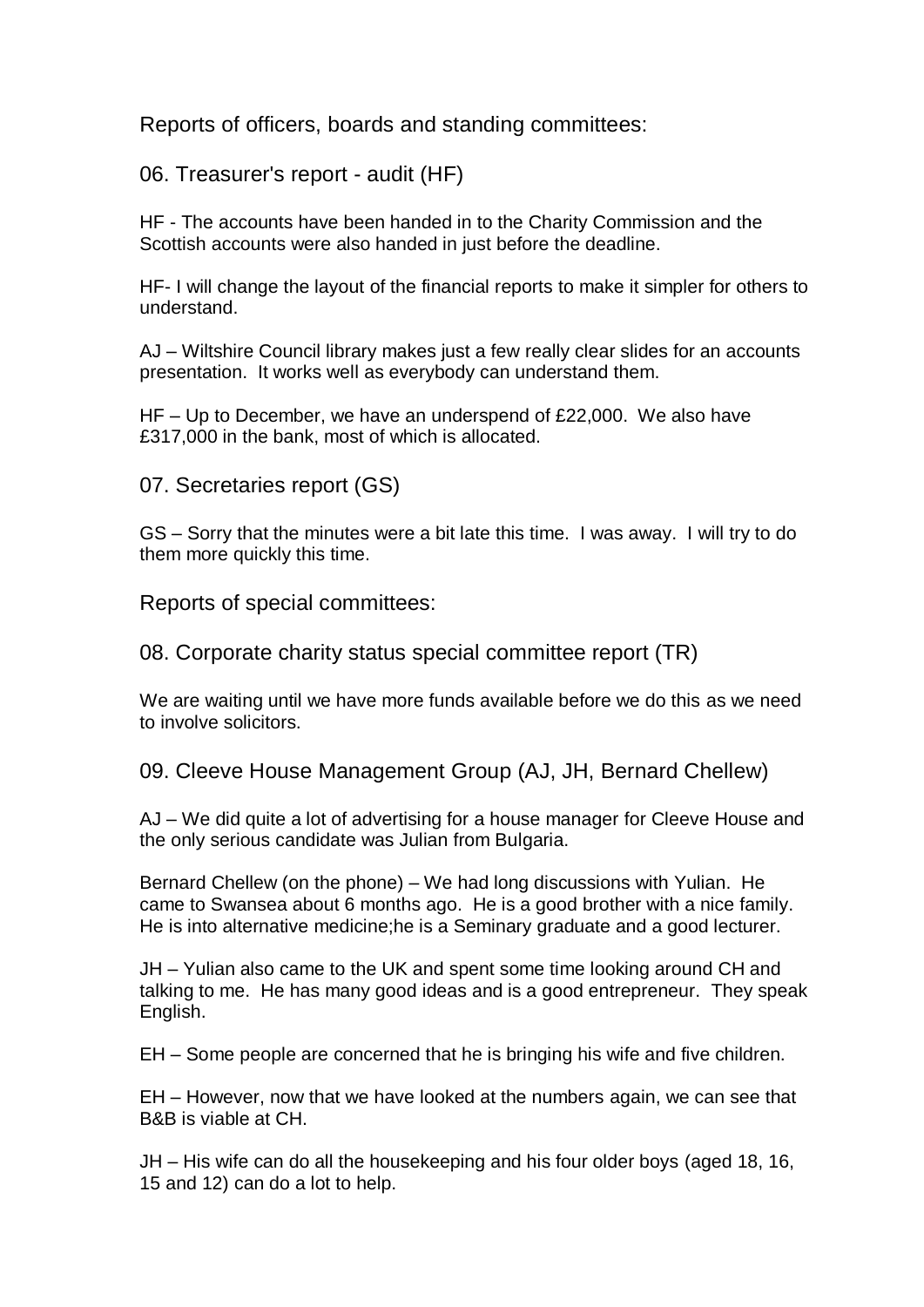Reports of officers, boards and standing committees:

06. Treasurer's report - audit (HF)

HF - The accounts have been handed in to the Charity Commission and the Scottish accounts were also handed in just before the deadline.

HF- I will change the layout of the financial reports to make it simpler for others to understand.

AJ – Wiltshire Council library makes just a few really clear slides for an accounts presentation. It works well as everybody can understand them.

HF – Up to December, we have an underspend of £22,000. We also have £317,000 in the bank, most of which is allocated.

07. Secretaries report (GS)

GS – Sorry that the minutes were a bit late this time. I was away. I will try to do them more quickly this time.

Reports of special committees:

08. Corporate charity status special committee report (TR)

We are waiting until we have more funds available before we do this as we need to involve solicitors.

09. Cleeve House Management Group (AJ, JH, Bernard Chellew)

AJ – We did quite a lot of advertising for a house manager for Cleeve House and the only serious candidate was Julian from Bulgaria.

Bernard Chellew (on the phone) – We had long discussions with Yulian. He came to Swansea about 6 months ago. He is a good brother with a nice family. He is into alternative medicine;he is a Seminary graduate and a good lecturer.

JH – Yulian also came to the UK and spent some time looking around CH and talking to me. He has many good ideas and is a good entrepreneur. They speak English.

EH – Some people are concerned that he is bringing his wife and five children.

EH – However, now that we have looked at the numbers again, we can see that B&B is viable at CH.

JH – His wife can do all the housekeeping and his four older boys (aged 18, 16, 15 and 12) can do a lot to help.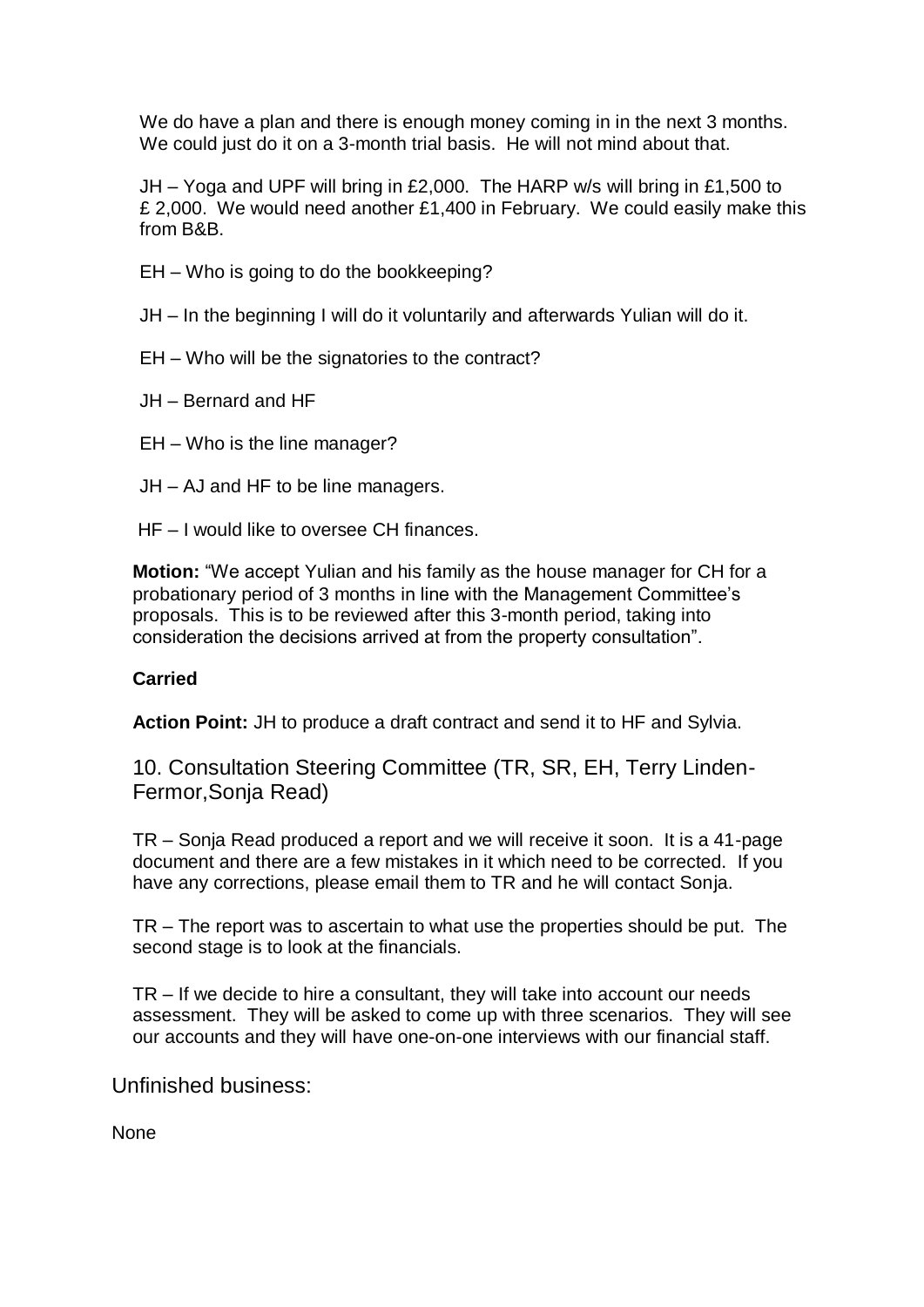We do have a plan and there is enough money coming in in the next 3 months. We could just do it on a 3-month trial basis. He will not mind about that.

JH – Yoga and UPF will bring in £2,000. The HARP w/s will bring in £1,500 to £ 2,000. We would need another £1,400 in February. We could easily make this from B&B.

- EH Who is going to do the bookkeeping?
- JH In the beginning I will do it voluntarily and afterwards Yulian will do it.
- EH Who will be the signatories to the contract?
- JH Bernard and HF
- EH Who is the line manager?
- JH AJ and HF to be line managers.
- HF I would like to oversee CH finances.

**Motion:** "We accept Yulian and his family as the house manager for CH for a probationary period of 3 months in line with the Management Committee's proposals. This is to be reviewed after this 3-month period, taking into consideration the decisions arrived at from the property consultation".

#### **Carried**

 **Action Point:** JH to produce a draft contract and send it to HF and Sylvia.

10. Consultation Steering Committee (TR, SR, EH, Terry Linden-Fermor,Sonja Read)

TR – Sonja Read produced a report and we will receive it soon. It is a 41-page document and there are a few mistakes in it which need to be corrected. If you have any corrections, please email them to TR and he will contact Sonja.

TR – The report was to ascertain to what use the properties should be put. The second stage is to look at the financials.

TR – If we decide to hire a consultant, they will take into account our needs assessment. They will be asked to come up with three scenarios. They will see our accounts and they will have one-on-one interviews with our financial staff.

Unfinished business:

None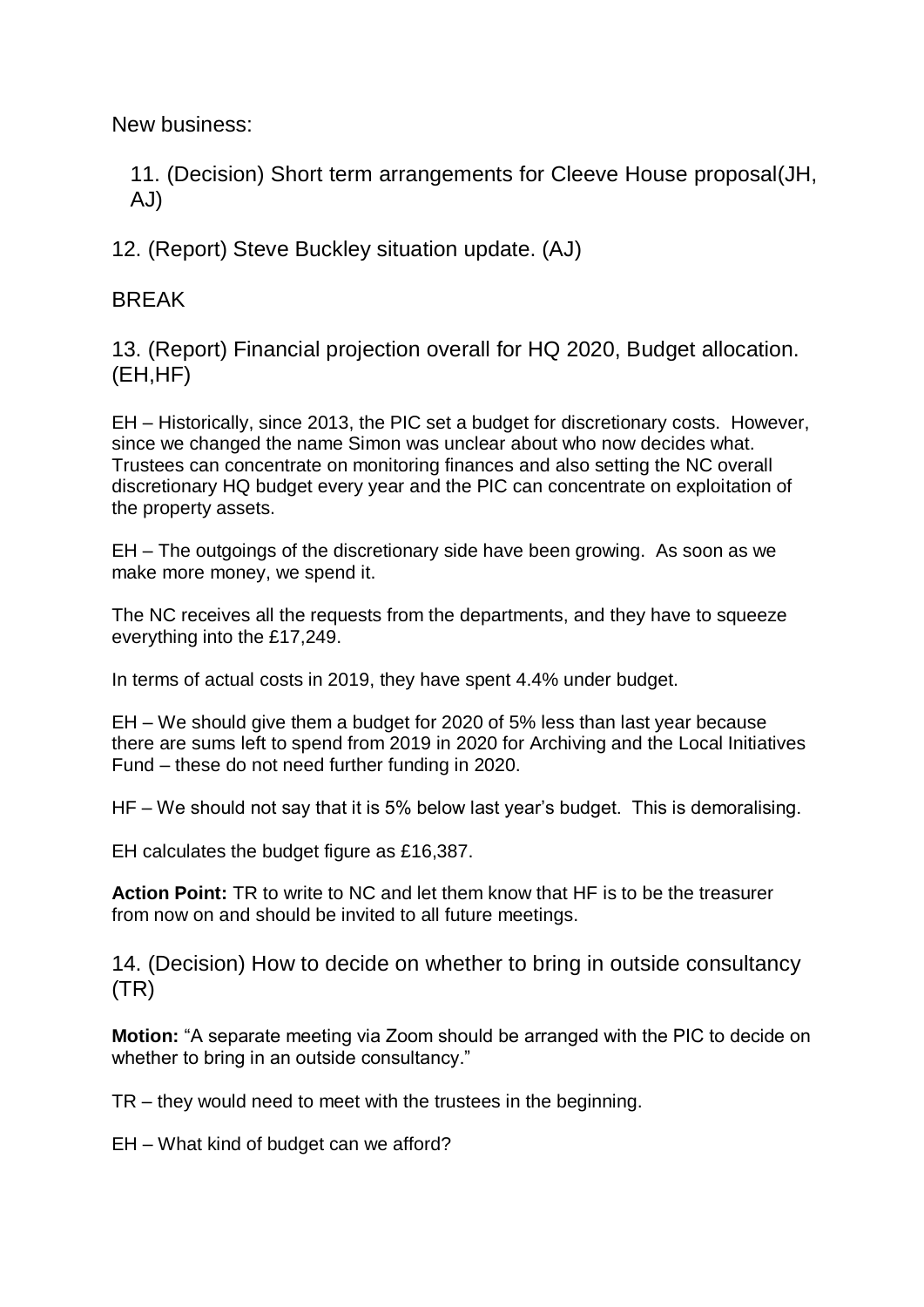New business:

11. (Decision) Short term arrangements for Cleeve House proposal(JH, AJ)

12. (Report) Steve Buckley situation update. (AJ)

**BRFAK** 

13. (Report) Financial projection overall for HQ 2020, Budget allocation. (EH,HF)

EH – Historically, since 2013, the PIC set a budget for discretionary costs. However, since we changed the name Simon was unclear about who now decides what. Trustees can concentrate on monitoring finances and also setting the NC overall discretionary HQ budget every year and the PIC can concentrate on exploitation of the property assets.

EH – The outgoings of the discretionary side have been growing. As soon as we make more money, we spend it.

The NC receives all the requests from the departments, and they have to squeeze everything into the £17,249.

In terms of actual costs in 2019, they have spent 4.4% under budget.

EH – We should give them a budget for 2020 of 5% less than last year because there are sums left to spend from 2019 in 2020 for Archiving and the Local Initiatives Fund – these do not need further funding in 2020.

HF – We should not say that it is 5% below last year's budget. This is demoralising.

EH calculates the budget figure as £16,387.

**Action Point:** TR to write to NC and let them know that HF is to be the treasurer from now on and should be invited to all future meetings.

14. (Decision) How to decide on whether to bring in outside consultancy (TR)

**Motion:** "A separate meeting via Zoom should be arranged with the PIC to decide on whether to bring in an outside consultancy."

TR – they would need to meet with the trustees in the beginning.

EH – What kind of budget can we afford?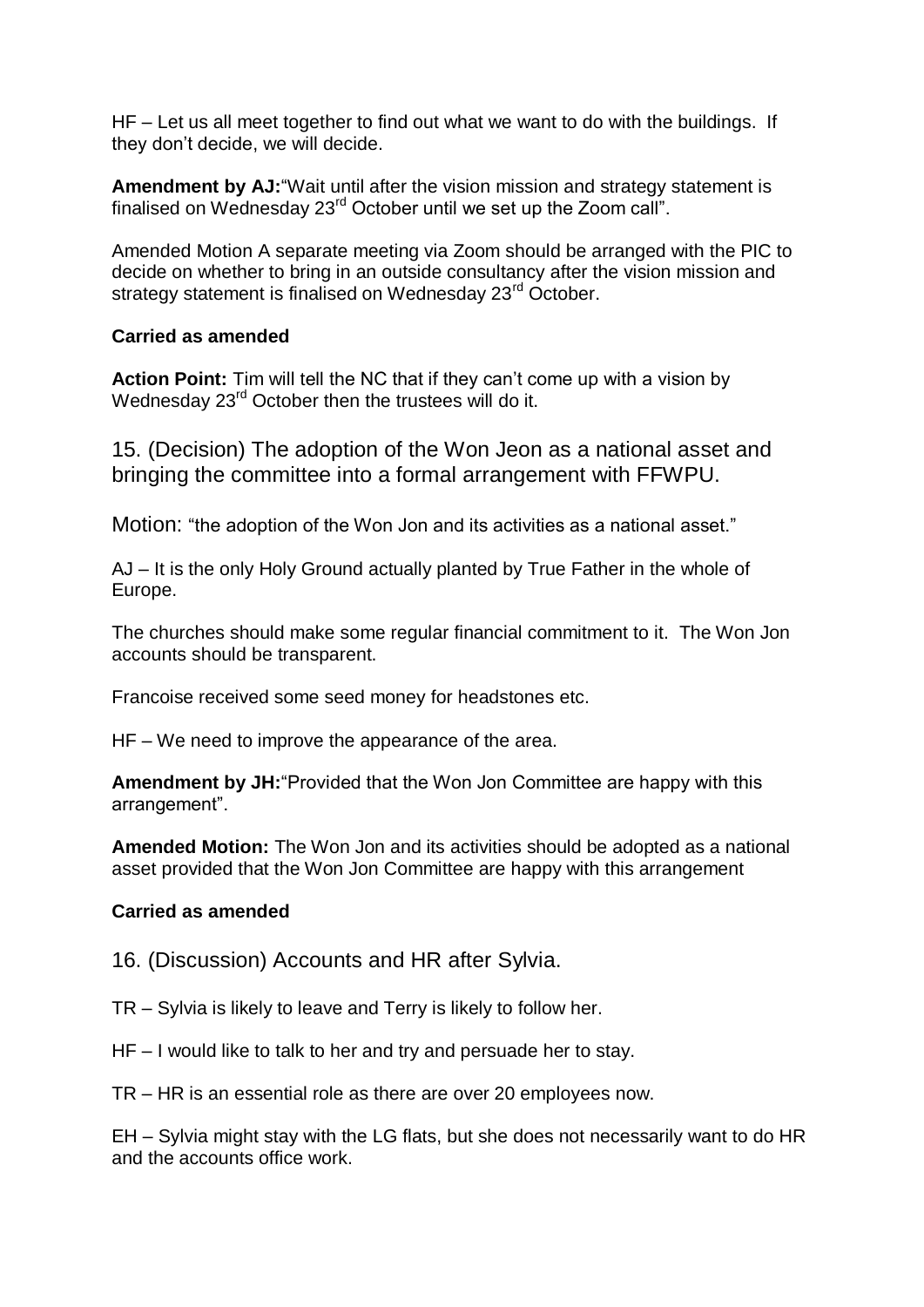HF – Let us all meet together to find out what we want to do with the buildings. If they don't decide, we will decide.

**Amendment by AJ:**"Wait until after the vision mission and strategy statement is finalised on Wednesday 23<sup>rd</sup> October until we set up the Zoom call".

Amended Motion A separate meeting via Zoom should be arranged with the PIC to decide on whether to bring in an outside consultancy after the vision mission and strategy statement is finalised on Wednesday 23<sup>rd</sup> October.

## **Carried as amended**

**Action Point:** Tim will tell the NC that if they can't come up with a vision by Wednesday 23<sup>rd</sup> October then the trustees will do it.

15. (Decision) The adoption of the Won Jeon as a national asset and bringing the committee into a formal arrangement with FFWPU.

Motion: "the adoption of the Won Jon and its activities as a national asset."

AJ – It is the only Holy Ground actually planted by True Father in the whole of Europe.

The churches should make some regular financial commitment to it. The Won Jon accounts should be transparent.

Francoise received some seed money for headstones etc.

HF – We need to improve the appearance of the area.

**Amendment by JH:**"Provided that the Won Jon Committee are happy with this arrangement".

**Amended Motion:** The Won Jon and its activities should be adopted as a national asset provided that the Won Jon Committee are happy with this arrangement

# **Carried as amended**

16. (Discussion) Accounts and HR after Sylvia.

TR – Sylvia is likely to leave and Terry is likely to follow her.

HF – I would like to talk to her and try and persuade her to stay.

TR – HR is an essential role as there are over 20 employees now.

EH – Sylvia might stay with the LG flats, but she does not necessarily want to do HR and the accounts office work.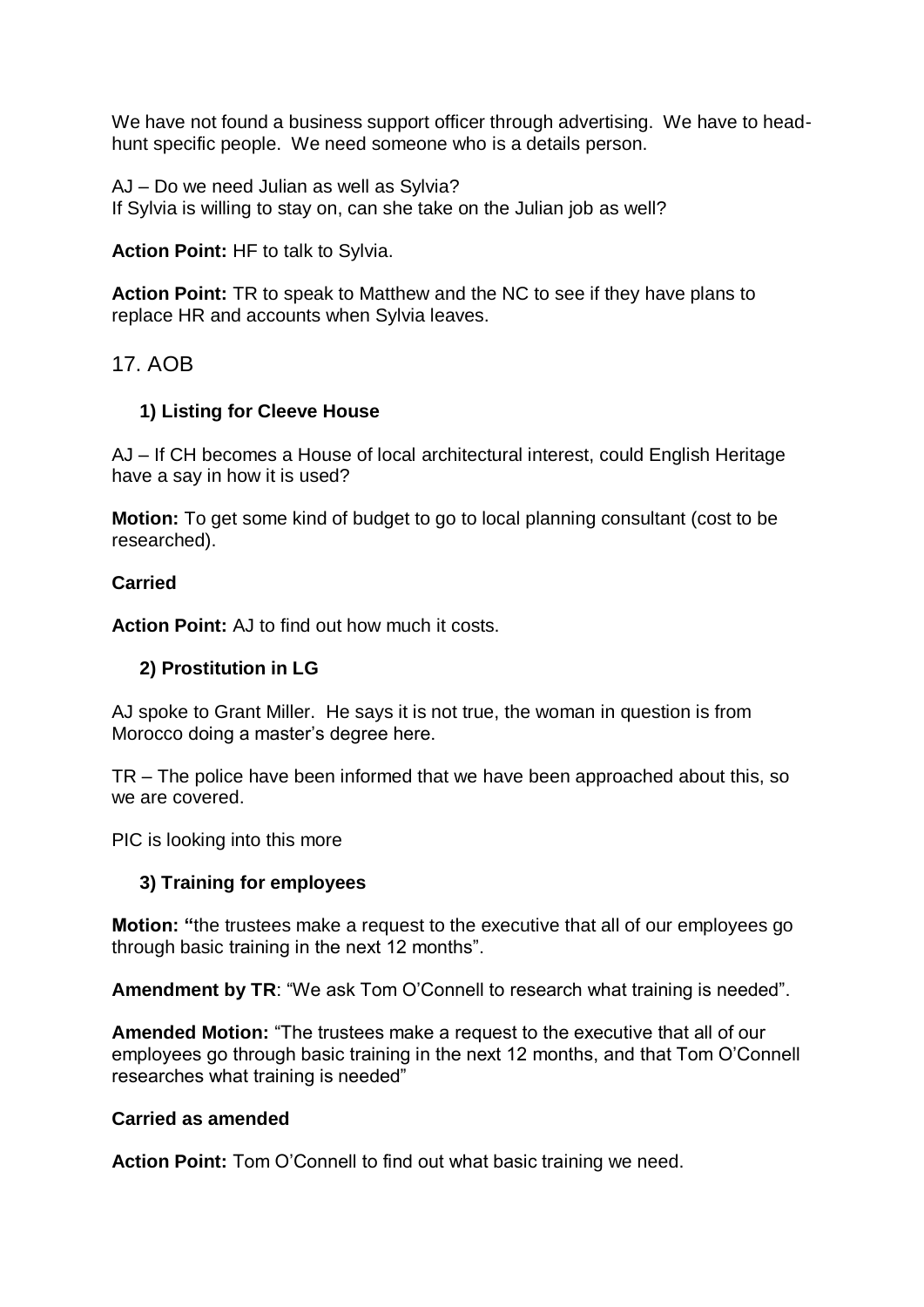We have not found a business support officer through advertising. We have to headhunt specific people. We need someone who is a details person.

AJ – Do we need Julian as well as Sylvia? If Sylvia is willing to stay on, can she take on the Julian job as well?

**Action Point:** HF to talk to Sylvia.

**Action Point:** TR to speak to Matthew and the NC to see if they have plans to replace HR and accounts when Sylvia leaves.

# 17. AOB

#### **1) Listing for Cleeve House**

AJ – If CH becomes a House of local architectural interest, could English Heritage have a say in how it is used?

**Motion:** To get some kind of budget to go to local planning consultant (cost to be researched).

#### **Carried**

**Action Point:** AJ to find out how much it costs.

#### **2) Prostitution in LG**

AJ spoke to Grant Miller. He says it is not true, the woman in question is from Morocco doing a master's degree here.

TR – The police have been informed that we have been approached about this, so we are covered.

PIC is looking into this more

#### **3) Training for employees**

**Motion: "**the trustees make a request to the executive that all of our employees go through basic training in the next 12 months".

**Amendment by TR**: "We ask Tom O'Connell to research what training is needed".

**Amended Motion:** "The trustees make a request to the executive that all of our employees go through basic training in the next 12 months, and that Tom O'Connell researches what training is needed"

#### **Carried as amended**

**Action Point:** Tom O'Connell to find out what basic training we need.